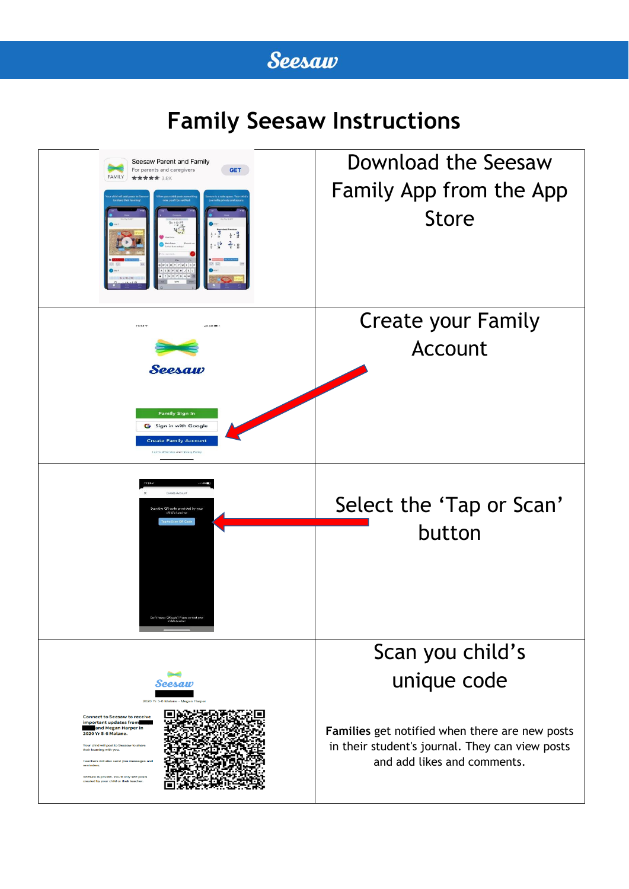## **Seesaw**

# **Family Seesaw Instructions**